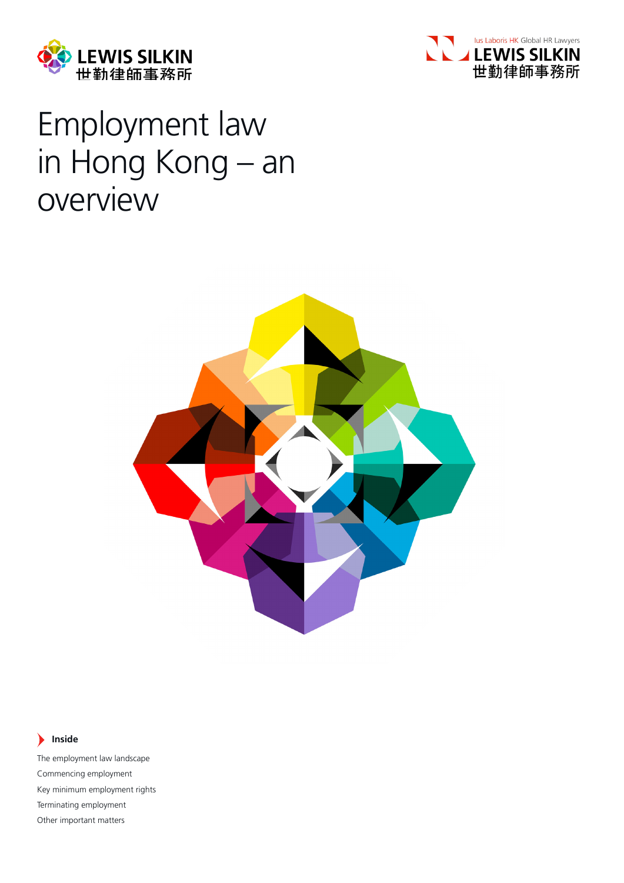



# Employment law in Hong Kong – an overview



#### **Inside**  $\blacktriangleright$

The employment law landscape Commencing employment Key minimum employment rights Terminating employment Other important matters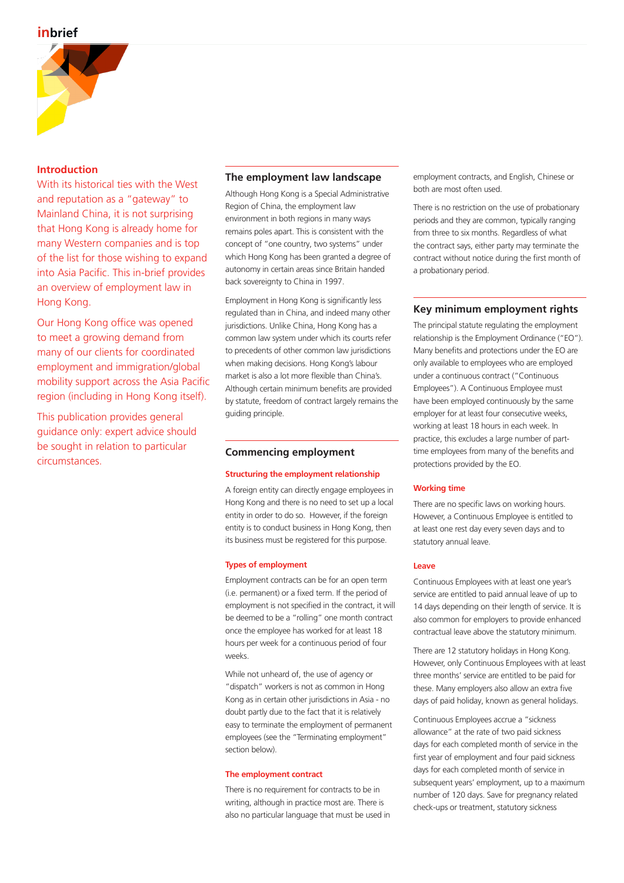

# **Introduction**

With its historical ties with the West and reputation as a "gateway" to Mainland China, it is not surprising that Hong Kong is already home for many Western companies and is top of the list for those wishing to expand into Asia Pacific. This in-brief provides an overview of employment law in Hong Kong.

Our Hong Kong office was opened to meet a growing demand from many of our clients for coordinated employment and immigration/global mobility support across the Asia Pacific region (including in Hong Kong itself).

This publication provides general guidance only: expert advice should be sought in relation to particular circumstances.

# **The employment law landscape**

Although Hong Kong is a Special Administrative Region of China, the employment law environment in both regions in many ways remains poles apart. This is consistent with the concept of "one country, two systems" under which Hong Kong has been granted a degree of autonomy in certain areas since Britain handed back sovereignty to China in 1997.

Employment in Hong Kong is significantly less regulated than in China, and indeed many other jurisdictions. Unlike China, Hong Kong has a common law system under which its courts refer to precedents of other common law jurisdictions when making decisions. Hong Kong's labour market is also a lot more flexible than China's. Although certain minimum benefits are provided by statute, freedom of contract largely remains the guiding principle.

# **Commencing employment**

#### **Structuring the employment relationship**

A foreign entity can directly engage employees in Hong Kong and there is no need to set up a local entity in order to do so. However, if the foreign entity is to conduct business in Hong Kong, then its business must be registered for this purpose.

#### **Types of employment**

Employment contracts can be for an open term (i.e. permanent) or a fixed term. If the period of employment is not specified in the contract, it will be deemed to be a "rolling" one month contract once the employee has worked for at least 18 hours per week for a continuous period of four weeks.

While not unheard of, the use of agency or "dispatch" workers is not as common in Hong Kong as in certain other jurisdictions in Asia - no doubt partly due to the fact that it is relatively easy to terminate the employment of permanent employees (see the "Terminating employment" section below).

#### **The employment contract**

There is no requirement for contracts to be in writing, although in practice most are. There is also no particular language that must be used in employment contracts, and English, Chinese or both are most often used.

There is no restriction on the use of probationary periods and they are common, typically ranging from three to six months. Regardless of what the contract says, either party may terminate the contract without notice during the first month of a probationary period.

# **Key minimum employment rights**

The principal statute regulating the employment relationship is the Employment Ordinance ("EO"). Many benefits and protections under the EO are only available to employees who are employed under a continuous contract ("Continuous Employees"). A Continuous Employee must have been employed continuously by the same employer for at least four consecutive weeks, working at least 18 hours in each week. In practice, this excludes a large number of parttime employees from many of the benefits and protections provided by the EO.

# **Working time**

There are no specific laws on working hours. However, a Continuous Employee is entitled to at least one rest day every seven days and to statutory annual leave.

#### **Leave**

Continuous Employees with at least one year's service are entitled to paid annual leave of up to 14 days depending on their length of service. It is also common for employers to provide enhanced contractual leave above the statutory minimum.

There are 12 statutory holidays in Hong Kong. However, only Continuous Employees with at least three months' service are entitled to be paid for these. Many employers also allow an extra five days of paid holiday, known as general holidays.

Continuous Employees accrue a "sickness allowance" at the rate of two paid sickness days for each completed month of service in the first year of employment and four paid sickness days for each completed month of service in subsequent years' employment, up to a maximum number of 120 days. Save for pregnancy related check-ups or treatment, statutory sickness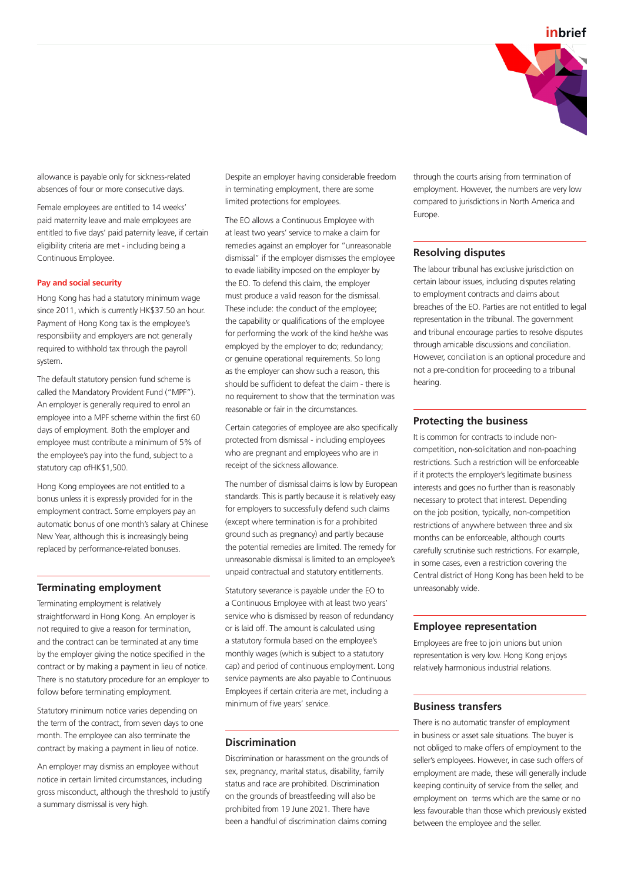

allowance is payable only for sickness-related absences of four or more consecutive days.

Female employees are entitled to 14 weeks' paid maternity leave and male employees are entitled to five days' paid paternity leave, if certain eligibility criteria are met - including being a Continuous Employee.

#### **Pay and social security**

Hong Kong has had a statutory minimum wage since 2011, which is currently HK\$37.50 an hour. Payment of Hong Kong tax is the employee's responsibility and employers are not generally required to withhold tax through the payroll system.

The default statutory pension fund scheme is called the Mandatory Provident Fund ("MPF"). An employer is generally required to enrol an employee into a MPF scheme within the first 60 days of employment. Both the employer and employee must contribute a minimum of 5% of the employee's pay into the fund, subject to a statutory cap ofHK\$1,500.

Hong Kong employees are not entitled to a bonus unless it is expressly provided for in the employment contract. Some employers pay an automatic bonus of one month's salary at Chinese New Year, although this is increasingly being replaced by performance-related bonuses.

# **Terminating employment**

Terminating employment is relatively straightforward in Hong Kong. An employer is not required to give a reason for termination, and the contract can be terminated at any time by the employer giving the notice specified in the contract or by making a payment in lieu of notice. There is no statutory procedure for an employer to follow before terminating employment.

Statutory minimum notice varies depending on the term of the contract, from seven days to one month. The employee can also terminate the contract by making a payment in lieu of notice.

An employer may dismiss an employee without notice in certain limited circumstances, including gross misconduct, although the threshold to justify a summary dismissal is very high.

Despite an employer having considerable freedom in terminating employment, there are some limited protections for employees.

The EO allows a Continuous Employee with at least two years' service to make a claim for remedies against an employer for "unreasonable dismissal" if the employer dismisses the employee to evade liability imposed on the employer by the EO. To defend this claim, the employer must produce a valid reason for the dismissal. These include: the conduct of the employee; the capability or qualifications of the employee for performing the work of the kind he/she was employed by the employer to do; redundancy; or genuine operational requirements. So long as the employer can show such a reason, this should be sufficient to defeat the claim - there is no requirement to show that the termination was reasonable or fair in the circumstances.

Certain categories of employee are also specifically protected from dismissal - including employees who are pregnant and employees who are in receipt of the sickness allowance.

The number of dismissal claims is low by European standards. This is partly because it is relatively easy for employers to successfully defend such claims (except where termination is for a prohibited ground such as pregnancy) and partly because the potential remedies are limited. The remedy for unreasonable dismissal is limited to an employee's unpaid contractual and statutory entitlements.

Statutory severance is payable under the EO to a Continuous Employee with at least two years' service who is dismissed by reason of redundancy or is laid off. The amount is calculated using a statutory formula based on the employee's monthly wages (which is subject to a statutory cap) and period of continuous employment. Long service payments are also payable to Continuous Employees if certain criteria are met, including a minimum of five years' service.

# **Discrimination**

Discrimination or harassment on the grounds of sex, pregnancy, marital status, disability, family status and race are prohibited. Discrimination on the grounds of breastfeeding will also be prohibited from 19 June 2021. There have been a handful of discrimination claims coming

through the courts arising from termination of employment. However, the numbers are very low compared to jurisdictions in North America and Europe.

### **Resolving disputes**

The labour tribunal has exclusive jurisdiction on certain labour issues, including disputes relating to employment contracts and claims about breaches of the EO. Parties are not entitled to legal representation in the tribunal. The government and tribunal encourage parties to resolve disputes through amicable discussions and conciliation. However, conciliation is an optional procedure and not a pre-condition for proceeding to a tribunal hearing.

### **Protecting the business**

It is common for contracts to include noncompetition, non-solicitation and non-poaching restrictions. Such a restriction will be enforceable if it protects the employer's legitimate business interests and goes no further than is reasonably necessary to protect that interest. Depending on the job position, typically, non-competition restrictions of anywhere between three and six months can be enforceable, although courts carefully scrutinise such restrictions. For example, in some cases, even a restriction covering the Central district of Hong Kong has been held to be unreasonably wide.

#### **Employee representation**

Employees are free to join unions but union representation is very low. Hong Kong enjoys relatively harmonious industrial relations.

### **Business transfers**

There is no automatic transfer of employment in business or asset sale situations. The buyer is not obliged to make offers of employment to the seller's employees. However, in case such offers of employment are made, these will generally include keeping continuity of service from the seller, and employment on terms which are the same or no less favourable than those which previously existed between the employee and the seller.